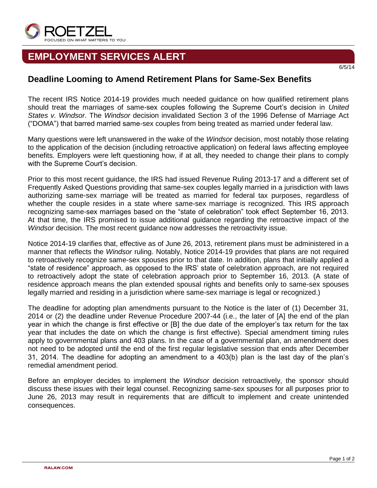

## **EMPLOYMENT SERVICES ALERT**

## **Deadline Looming to Amend Retirement Plans for Same-Sex Benefits**

The recent IRS Notice 2014-19 provides much needed guidance on how qualified retirement plans should treat the marriages of same-sex couples following the Supreme Court's decision in *United States v. Windsor*. The *Windsor* decision invalidated Section 3 of the 1996 Defense of Marriage Act ("DOMA") that barred married same-sex couples from being treated as married under federal law.

Many questions were left unanswered in the wake of the *Windsor* decision, most notably those relating to the application of the decision (including retroactive application) on federal laws affecting employee benefits. Employers were left questioning how, if at all, they needed to change their plans to comply with the Supreme Court's decision.

Prior to this most recent guidance, the IRS had issued Revenue Ruling 2013-17 and a different set of Frequently Asked Questions providing that same-sex couples legally married in a jurisdiction with laws authorizing same-sex marriage will be treated as married for federal tax purposes, regardless of whether the couple resides in a state where same-sex marriage is recognized. This IRS approach recognizing same-sex marriages based on the "state of celebration" took effect September 16, 2013. At that time, the IRS promised to issue additional guidance regarding the retroactive impact of the *Windsor* decision. The most recent guidance now addresses the retroactivity issue.

Notice 2014-19 clarifies that, effective as of June 26, 2013, retirement plans must be administered in a manner that reflects the *Windsor* ruling. Notably, Notice 2014-19 provides that plans are not required to retroactively recognize same-sex spouses prior to that date. In addition, plans that initially applied a "state of residence" approach, as opposed to the IRS' state of celebration approach, are not required to retroactively adopt the state of celebration approach prior to September 16, 2013. (A state of residence approach means the plan extended spousal rights and benefits only to same-sex spouses legally married and residing in a jurisdiction where same-sex marriage is legal or recognized.)

The deadline for adopting plan amendments pursuant to the Notice is the later of (1) December 31, 2014 or (2) the deadline under Revenue Procedure 2007-44 (i.e., the later of [A] the end of the plan year in which the change is first effective or [B] the due date of the employer's tax return for the tax year that includes the date on which the change is first effective). Special amendment timing rules apply to governmental plans and 403 plans. In the case of a governmental plan, an amendment does not need to be adopted until the end of the first regular legislative session that ends after December 31, 2014. The deadline for adopting an amendment to a 403(b) plan is the last day of the plan's remedial amendment period.

Before an employer decides to implement the *Windsor* decision retroactively, the sponsor should discuss these issues with their legal counsel. Recognizing same-sex spouses for all purposes prior to June 26, 2013 may result in requirements that are difficult to implement and create unintended consequences.